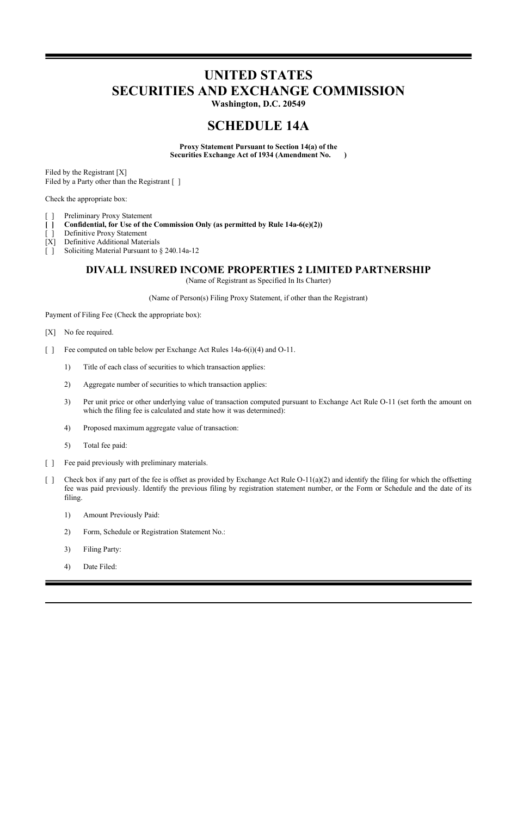# **UNITED STATES SECURITIES AND EXCHANGE COMMISSION**

**Washington, D.C. 20549**

# **SCHEDULE 14A**

**Proxy Statement Pursuant to Section 14(a) of the Securities Exchange Act of 1934 (Amendment No. )**

Filed by the Registrant [X] Filed by a Party other than the Registrant [ ]

Check the appropriate box:

- [ ] Preliminary Proxy Statement
- **[ ] Confidential, for Use of the Commission Only (as permitted by Rule 14a-6(e)(2))**
- [ ] Definitive Proxy Statement
- [X] Definitive Additional Materials
- [ ] Soliciting Material Pursuant to § 240.14a-12

# **DIVALL INSURED INCOME PROPERTIES 2 LIMITED PARTNERSHIP**

(Name of Registrant as Specified In Its Charter)

(Name of Person(s) Filing Proxy Statement, if other than the Registrant)

Payment of Filing Fee (Check the appropriate box):

[X] No fee required.

- [ ] Fee computed on table below per Exchange Act Rules 14a-6(i)(4) and O-11.
	- 1) Title of each class of securities to which transaction applies:
	- 2) Aggregate number of securities to which transaction applies:
	- 3) Per unit price or other underlying value of transaction computed pursuant to Exchange Act Rule O-11 (set forth the amount on which the filing fee is calculated and state how it was determined):
	- 4) Proposed maximum aggregate value of transaction:
	- 5) Total fee paid:
- [ ] Fee paid previously with preliminary materials.
- [ ] Check box if any part of the fee is offset as provided by Exchange Act Rule  $O-11(a)(2)$  and identify the filing for which the offsetting fee was paid previously. Identify the previous filing by registration statement number, or the Form or Schedule and the date of its filing.
	- 1) Amount Previously Paid:
	- 2) Form, Schedule or Registration Statement No.:
	- 3) Filing Party:
	- 4) Date Filed: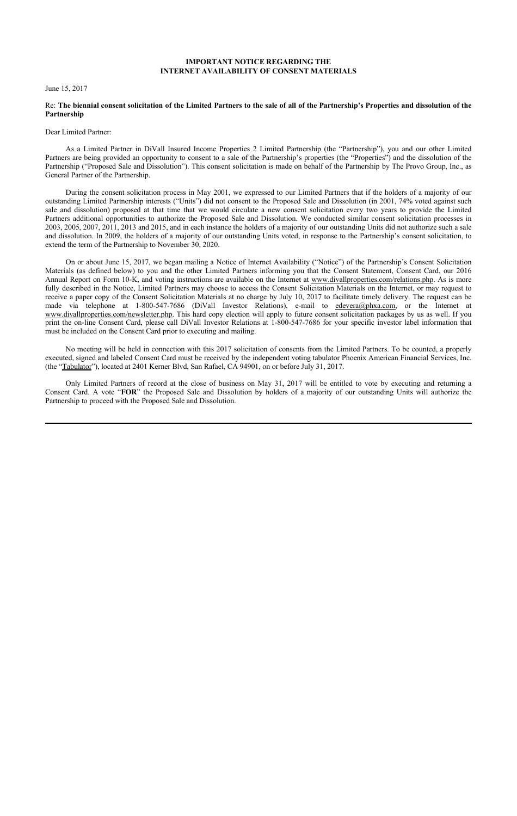#### **IMPORTANT NOTICE REGARDING THE INTERNET AVAILABILITY OF CONSENT MATERIALS**

#### June 15, 2017

#### Re: **The biennial consent solicitation of the Limited Partners to the sale of all of the Partnership's Properties and dissolution of the Partnership**

#### Dear Limited Partner:

As a Limited Partner in DiVall Insured Income Properties 2 Limited Partnership (the "Partnership"), you and our other Limited Partners are being provided an opportunity to consent to a sale of the Partnership's properties (the "Properties") and the dissolution of the Partnership ("Proposed Sale and Dissolution"). This consent solicitation is made on behalf of the Partnership by The Provo Group, Inc., as General Partner of the Partnership.

During the consent solicitation process in May 2001, we expressed to our Limited Partners that if the holders of a majority of our outstanding Limited Partnership interests ("Units") did not consent to the Proposed Sale and Dissolution (in 2001, 74% voted against such sale and dissolution) proposed at that time that we would circulate a new consent solicitation every two years to provide the Limited Partners additional opportunities to authorize the Proposed Sale and Dissolution. We conducted similar consent solicitation processes in 2003, 2005, 2007, 2011, 2013 and 2015, and in each instance the holders of a majority of our outstanding Units did not authorize such a sale and dissolution. In 2009, the holders of a majority of our outstanding Units voted, in response to the Partnership's consent solicitation, to extend the term of the Partnership to November 30, 2020.

On or about June 15, 2017, we began mailing a Notice of Internet Availability ("Notice") of the Partnership's Consent Solicitation Materials (as defined below) to you and the other Limited Partners informing you that the Consent Statement, Consent Card, our 2016 Annual Report on Form 10-K, and voting instructions are available on the Internet at www.divallproperties.com/relations.php. As is more fully described in the Notice, Limited Partners may choose to access the Consent Solicitation Materials on the Internet, or may request to receive a paper copy of the Consent Solicitation Materials at no charge by July 10, 2017 to facilitate timely delivery. The request can be made via telephone at 1-800-547-7686 (DiVall Investor Relations), e-mail to edevera@phxa.com, or the Internet at www.divallproperties.com/newsletter.php. This hard copy election will apply to future consent solicitation packages by us as well. If you print the on-line Consent Card, please call DiVall Investor Relations at 1-800-547-7686 for your specific investor label information that must be included on the Consent Card prior to executing and mailing.

No meeting will be held in connection with this 2017 solicitation of consents from the Limited Partners. To be counted, a properly executed, signed and labeled Consent Card must be received by the independent voting tabulator Phoenix American Financial Services, Inc. (the "Tabulator"), located at 2401 Kerner Blvd, San Rafael, CA 94901, on or before July 31, 2017.

Only Limited Partners of record at the close of business on May 31, 2017 will be entitled to vote by executing and returning a Consent Card. A vote "**FOR**" the Proposed Sale and Dissolution by holders of a majority of our outstanding Units will authorize the Partnership to proceed with the Proposed Sale and Dissolution.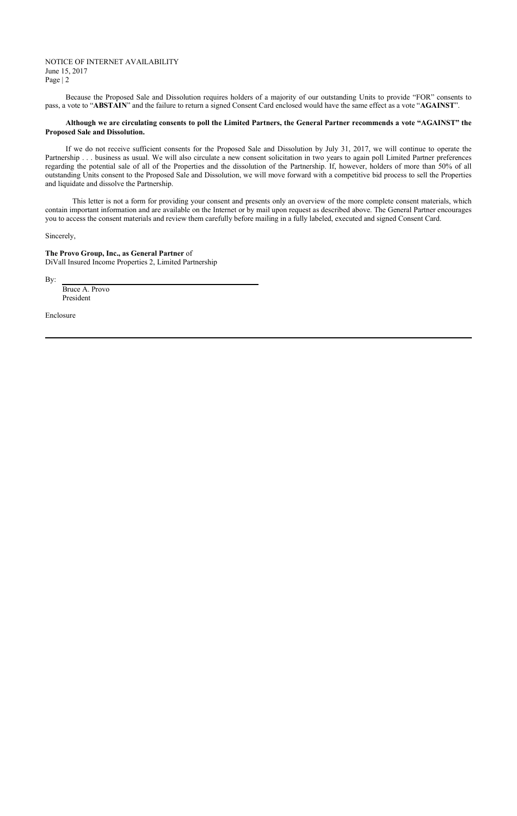#### NOTICE OF INTERNET AVAILABILITY June 15, 2017 Page | 2

Because the Proposed Sale and Dissolution requires holders of a majority of our outstanding Units to provide "FOR" consents to pass, a vote to "**ABSTAIN**" and the failure to return a signed Consent Card enclosed would have the same effect as a vote "**AGAINST**".

#### **Although we are circulating consents to poll the Limited Partners, the General Partner recommends a vote "AGAINST" the Proposed Sale and Dissolution.**

If we do not receive sufficient consents for the Proposed Sale and Dissolution by July 31, 2017, we will continue to operate the Partnership . . . business as usual. We will also circulate a new consent solicitation in two years to again poll Limited Partner preferences regarding the potential sale of all of the Properties and the dissolution of the Partnership. If, however, holders of more than 50% of all outstanding Units consent to the Proposed Sale and Dissolution, we will move forward with a competitive bid process to sell the Properties and liquidate and dissolve the Partnership.

This letter is not a form for providing your consent and presents only an overview of the more complete consent materials, which contain important information and are available on the Internet or by mail upon request as described above. The General Partner encourages you to access the consent materials and review them carefully before mailing in a fully labeled, executed and signed Consent Card.

Sincerely,

**The Provo Group, Inc., as General Partner** of DiVall Insured Income Properties 2, Limited Partnership

By:

Bruce A. Provo President

Enclosure